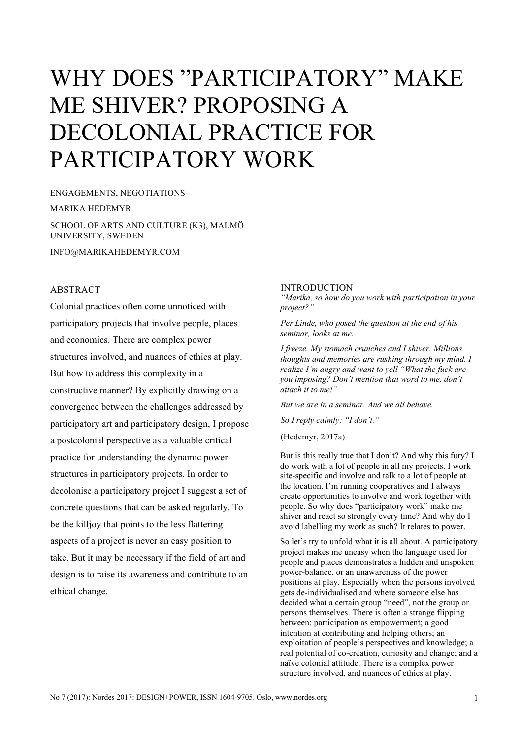# WHY DOES "PARTICIPATORY" MAKE ME SHIVER? PROPOSING A DECOLONIAL PRACTICE FOR PARTICIPATORY WORK

ENGAGEMENTS, NEGOTIATIONS MARIKA HEDEMYR SCHOOL OF ARTS AND CULTURE (K3), MALMÖ UNIVERSITY, SWEDEN INFO@MARIKAHEDEMYR.COM

## **ABSTRACT**

Colonial practices often come unnoticed with participatory projects that involve people, places and economics. There are complex power structures involved, and nuances of ethics at play. But how to address this complexity in a constructive manner? By explicitly drawing on a convergence between the challenges addressed by participatory art and participatory design, I propose a postcolonial perspective as a valuable critical practice for understanding the dynamic power structures in participatory projects. In order to decolonise a participatory project I suggest a set of concrete questions that can be asked regularly. To be the killjoy that points to the less flattering aspects of a project is never an easy position to take. But it may be necessary if the field of art and design is to raise its awareness and contribute to an ethical change.

#### INTRODUCTION

*"Marika, so how do you work with participation in your project?"* 

*Per Linde, who posed the question at the end of his seminar, looks at me.* 

*I freeze. My stomach crunches and I shiver. Millions thoughts and memories are rushing through my mind. I realize I'm angry and want to yell "What the fuck are you imposing? Don't mention that word to me, don't attach it to me!"* 

*But we are in a seminar. And we all behave.* 

*So I reply calmly: "I don't."* 

(Hedemyr, 2017a)

But is this really true that I don't? And why this fury? I do work with a lot of people in all my projects. I work site-specific and involve and talk to a lot of people at the location. I'm running cooperatives and I always create opportunities to involve and work together with people. So why does "participatory work" make me shiver and react so strongly every time? And why do I avoid labelling my work as such? It relates to power.

So let's try to unfold what it is all about. A participatory project makes me uneasy when the language used for people and places demonstrates a hidden and unspoken power-balance, or an unawareness of the power positions at play. Especially when the persons involved gets de-individualised and where someone else has decided what a certain group "need", not the group or persons themselves. There is often a strange flipping between: participation as empowerment; a good intention at contributing and helping others; an exploitation of people's perspectives and knowledge; a real potential of co-creation, curiosity and change; and a naïve colonial attitude. There is a complex power structure involved, and nuances of ethics at play.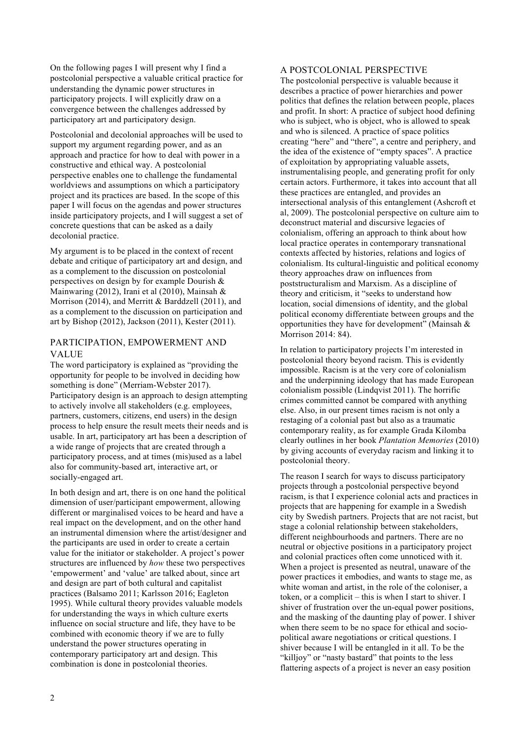On the following pages I will present why I find a postcolonial perspective a valuable critical practice for understanding the dynamic power structures in participatory projects. I will explicitly draw on a convergence between the challenges addressed by participatory art and participatory design.

Postcolonial and decolonial approaches will be used to support my argument regarding power, and as an approach and practice for how to deal with power in a constructive and ethical way. A postcolonial perspective enables one to challenge the fundamental worldviews and assumptions on which a participatory project and its practices are based. In the scope of this paper I will focus on the agendas and power structures inside participatory projects, and I will suggest a set of concrete questions that can be asked as a daily decolonial practice.

My argument is to be placed in the context of recent debate and critique of participatory art and design, and as a complement to the discussion on postcolonial perspectives on design by for example Dourish & Mainwaring (2012), Irani et al (2010), Mainsah  $\&$ Morrison (2014), and Merritt & Barddzell (2011), and as a complement to the discussion on participation and art by Bishop (2012), Jackson (2011), Kester (2011).

## PARTICIPATION, EMPOWERMENT AND VALUE

The word participatory is explained as "providing the opportunity for people to be involved in deciding how something is done" (Merriam-Webster 2017). Participatory design is an approach to design attempting to actively involve all stakeholders (e.g. employees, partners, customers, citizens, end users) in the design process to help ensure the result meets their needs and is usable. In art, participatory art has been a description of a wide range of projects that are created through a participatory process, and at times (mis)used as a label also for community-based art, interactive art, or socially-engaged art.

In both design and art, there is on one hand the political dimension of user/participant empowerment, allowing different or marginalised voices to be heard and have a real impact on the development, and on the other hand an instrumental dimension where the artist/designer and the participants are used in order to create a certain value for the initiator or stakeholder. A project's power structures are influenced by *how* these two perspectives 'empowerment' and 'value' are talked about, since art and design are part of both cultural and capitalist practices (Balsamo 2011; Karlsson 2016; Eagleton 1995). While cultural theory provides valuable models for understanding the ways in which culture exerts influence on social structure and life, they have to be combined with economic theory if we are to fully understand the power structures operating in contemporary participatory art and design. This combination is done in postcolonial theories.

#### A POSTCOLONIAL PERSPECTIVE

The postcolonial perspective is valuable because it describes a practice of power hierarchies and power politics that defines the relation between people, places and profit. In short: A practice of subject hood defining who is subject, who is object, who is allowed to speak and who is silenced. A practice of space politics creating "here" and "there", a centre and periphery, and the idea of the existence of "empty spaces". A practice of exploitation by appropriating valuable assets, instrumentalising people, and generating profit for only certain actors. Furthermore, it takes into account that all these practices are entangled, and provides an intersectional analysis of this entanglement (Ashcroft et al, 2009). The postcolonial perspective on culture aim to deconstruct material and discursive legacies of colonialism, offering an approach to think about how local practice operates in contemporary transnational contexts affected by histories, relations and logics of colonialism. Its cultural-linguistic and political economy theory approaches draw on influences from poststructuralism and Marxism. As a discipline of theory and criticism, it "seeks to understand how location, social dimensions of identity, and the global political economy differentiate between groups and the opportunities they have for development" (Mainsah  $\&$ Morrison 2014: 84).

In relation to participatory projects I'm interested in postcolonial theory beyond racism. This is evidently impossible. Racism is at the very core of colonialism and the underpinning ideology that has made European colonialism possible (Lindqvist 2011). The horrific crimes committed cannot be compared with anything else. Also, in our present times racism is not only a restaging of a colonial past but also as a traumatic contemporary reality, as for example Grada Kilomba clearly outlines in her book *Plantation Memories* (2010) by giving accounts of everyday racism and linking it to postcolonial theory.

The reason I search for ways to discuss participatory projects through a postcolonial perspective beyond racism, is that I experience colonial acts and practices in projects that are happening for example in a Swedish city by Swedish partners. Projects that are not racist, but stage a colonial relationship between stakeholders, different neighbourhoods and partners. There are no neutral or objective positions in a participatory project and colonial practices often come unnoticed with it. When a project is presented as neutral, unaware of the power practices it embodies, and wants to stage me, as white woman and artist, in the role of the coloniser, a token, or a complicit – this is when I start to shiver. I shiver of frustration over the un-equal power positions, and the masking of the daunting play of power. I shiver when there seem to be no space for ethical and sociopolitical aware negotiations or critical questions. I shiver because I will be entangled in it all. To be the "killjoy" or "nasty bastard" that points to the less flattering aspects of a project is never an easy position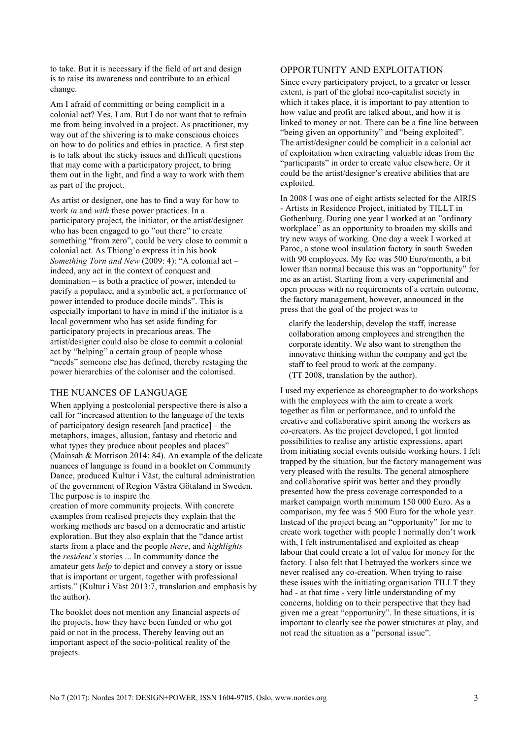to take. But it is necessary if the field of art and design is to raise its awareness and contribute to an ethical change.

Am I afraid of committing or being complicit in a colonial act? Yes, I am. But I do not want that to refrain me from being involved in a project. As practitioner, my way out of the shivering is to make conscious choices on how to do politics and ethics in practice. A first step is to talk about the sticky issues and difficult questions that may come with a participatory project, to bring them out in the light, and find a way to work with them as part of the project.

As artist or designer, one has to find a way for how to work *in* and *with* these power practices. In a participatory project, the initiator, or the artist/designer who has been engaged to go "out there" to create something "from zero", could be very close to commit a colonial act. As Thiong'o express it in his book *Something Torn and New* (2009: 4): "A colonial act – indeed, any act in the context of conquest and domination – is both a practice of power, intended to pacify a populace, and a symbolic act, a performance of power intended to produce docile minds". This is especially important to have in mind if the initiator is a local government who has set aside funding for participatory projects in precarious areas. The artist/designer could also be close to commit a colonial act by "helping" a certain group of people whose "needs" someone else has defined, thereby restaging the power hierarchies of the coloniser and the colonised.

### THE NUANCES OF LANGUAGE

When applying a postcolonial perspective there is also a call for "increased attention to the language of the texts of participatory design research [and practice] – the metaphors, images, allusion, fantasy and rhetoric and what types they produce about peoples and places" (Mainsah & Morrison 2014: 84). An example of the delicate nuances of language is found in a booklet on Community Dance, produced Kultur i Väst, the cultural administration of the government of Region Västra Götaland in Sweden. The purpose is to inspire the

creation of more community projects. With concrete examples from realised projects they explain that the working methods are based on a democratic and artistic exploration. But they also explain that the "dance artist starts from a place and the people *there*, and *highlights* the *resident's* stories ... In community dance the amateur gets *help* to depict and convey a story or issue that is important or urgent, together with professional artists." (Kultur i Väst 2013:7, translation and emphasis by the author).

The booklet does not mention any financial aspects of the projects, how they have been funded or who got paid or not in the process. Thereby leaving out an important aspect of the socio-political reality of the projects.

#### OPPORTUNITY AND EXPLOITATION

Since every participatory project, to a greater or lesser extent, is part of the global neo-capitalist society in which it takes place, it is important to pay attention to how value and profit are talked about, and how it is linked to money or not. There can be a fine line between "being given an opportunity" and "being exploited". The artist/designer could be complicit in a colonial act of exploitation when extracting valuable ideas from the "participants" in order to create value elsewhere. Or it could be the artist/designer's creative abilities that are exploited.

In 2008 I was one of eight artists selected for the AIRIS - Artists in Residence Project, initiated by TILLT in Gothenburg. During one year I worked at an "ordinary workplace" as an opportunity to broaden my skills and try new ways of working. One day a week I worked at Paroc, a stone wool insulation factory in south Sweden with 90 employees. My fee was 500 Euro/month, a bit lower than normal because this was an "opportunity" for me as an artist. Starting from a very experimental and open process with no requirements of a certain outcome, the factory management, however, announced in the press that the goal of the project was to

 clarify the leadership, develop the staff, increase collaboration among employees and strengthen the corporate identity. We also want to strengthen the innovative thinking within the company and get the staff to feel proud to work at the company. (TT 2008, translation by the author).

I used my experience as choreographer to do workshops with the employees with the aim to create a work together as film or performance, and to unfold the creative and collaborative spirit among the workers as co-creators. As the project developed, I got limited possibilities to realise any artistic expressions, apart from initiating social events outside working hours. I felt trapped by the situation, but the factory management was very pleased with the results. The general atmosphere and collaborative spirit was better and they proudly presented how the press coverage corresponded to a market campaign worth minimum 150 000 Euro. As a comparison, my fee was 5 500 Euro for the whole year. Instead of the project being an "opportunity" for me to create work together with people I normally don't work with, I felt instrumentalised and exploited as cheap labour that could create a lot of value for money for the factory. I also felt that I betrayed the workers since we never realised any co-creation. When trying to raise these issues with the initiating organisation TILLT they had - at that time - very little understanding of my concerns, holding on to their perspective that they had given me a great "opportunity". In these situations, it is important to clearly see the power structures at play, and not read the situation as a "personal issue".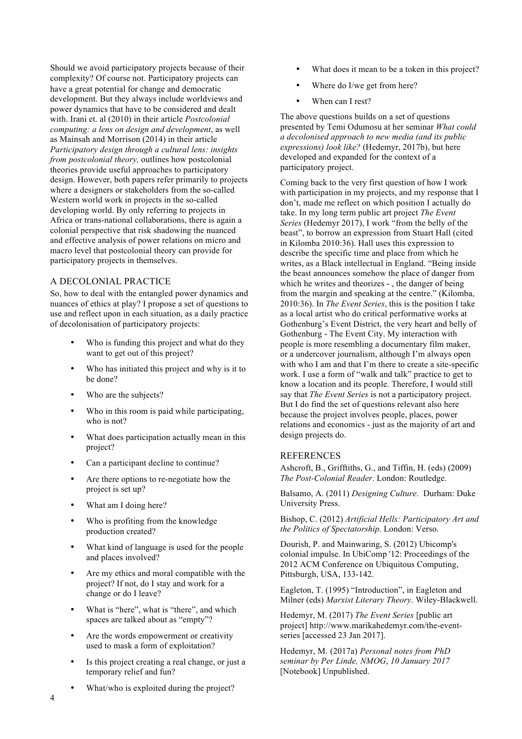Should we avoid participatory projects because of their complexity? Of course not. Participatory projects can have a great potential for change and democratic development. But they always include worldviews and power dynamics that have to be considered and dealt with. Irani et. al (2010) in their article *Postcolonial computing: a lens on design and development*, as well as Mainsah and Morrison (2014) in their article *Participatory design through a cultural lens: insights from postcolonial theory,* outlines how postcolonial theories provide useful approaches to participatory design. However, both papers refer primarily to projects where a designers or stakeholders from the so-called Western world work in projects in the so-called developing world. By only referring to projects in Africa or trans-national collaborations, there is again a colonial perspective that risk shadowing the nuanced and effective analysis of power relations on micro and macro level that postcolonial theory can provide for participatory projects in themselves.

## A DECOLONIAL PRACTICE

So, how to deal with the entangled power dynamics and nuances of ethics at play? I propose a set of questions to use and reflect upon in each situation, as a daily practice of decolonisation of participatory projects:

- Who is funding this project and what do they want to get out of this project?
- Who has initiated this project and why is it to be done?
- Who are the subjects?
- Who in this room is paid while participating, who is not?
- What does participation actually mean in this project?
- Can a participant decline to continue?
- Are there options to re-negotiate how the project is set up?
- What am I doing here?
- Who is profiting from the knowledge production created?
- What kind of language is used for the people and places involved?
- Are my ethics and moral compatible with the project? If not, do I stay and work for a change or do I leave?
- What is "here", what is "there", and which spaces are talked about as "empty"?
- Are the words empowerment or creativity used to mask a form of exploitation?
- Is this project creating a real change, or just a temporary relief and fun?
- What/who is exploited during the project?
- What does it mean to be a token in this project?
- Where do I/we get from here?
- When can I rest?

The above questions builds on a set of questions presented by Temi Odumosu at her seminar *What could a decolonised approach to new media (and its public expressions) look like?* (Hedemyr, 2017b), but here developed and expanded for the context of a participatory project.

Coming back to the very first question of how I work with participation in my projects, and my response that I don't, made me reflect on which position I actually do take. In my long term public art project *The Event Series* (Hedemyr 2017), I work "from the belly of the beast", to borrow an expression from Stuart Hall (cited in Kilomba 2010:36). Hall uses this expression to describe the specific time and place from which he writes, as a Black intellectual in England. "Being inside the beast announces somehow the place of danger from which he writes and theorizes - , the danger of being from the margin and speaking at the centre." (Kilomba, 2010:36). In *The Event Series*, this is the position I take as a local artist who do critical performative works at Gothenburg's Event District, the very heart and belly of Gothenburg - The Event City. My interaction with people is more resembling a documentary film maker, or a undercover journalism, although I'm always open with who I am and that I'm there to create a site-specific work. I use a form of "walk and talk" practice to get to know a location and its people. Therefore, I would still say that *The Event Series* is not a participatory project. But I do find the set of questions relevant also here because the project involves people, places, power relations and economics - just as the majority of art and design projects do.

## REFERENCES

Ashcroft, B., Grifftiths, G., and Tiffin, H. (eds) (2009) *The Post-Colonial Reader*. London: Routledge.

Balsamo, A. (2011) *Designing Culture*. Durham: Duke University Press.

Bishop, C. (2012) *Artificial Hells: Participatory Art and the Politics of Spectatorship*. London: Verso.

Dourish, P. and Mainwaring, S. (2012) Ubicomp's colonial impulse. In UbiComp '12: Proceedings of the 2012 ACM Conference on Ubiquitous Computing, Pittsburgh, USA, 133-142.

Eagleton, T. (1995) "Introduction", in Eagleton and Milner (eds) *Marxist Literary Theory*. Wiley-Blackwell.

Hedemyr, M. (2017) *The Event Series* [public art project] http://www.marikahedemyr.com/the-eventseries [accessed 23 Jan 2017].

Hedemyr, M. (2017a) *Personal notes from PhD seminar by Per Linde, NMOG*, *10 January 2017* [Notebook] Unpublished.